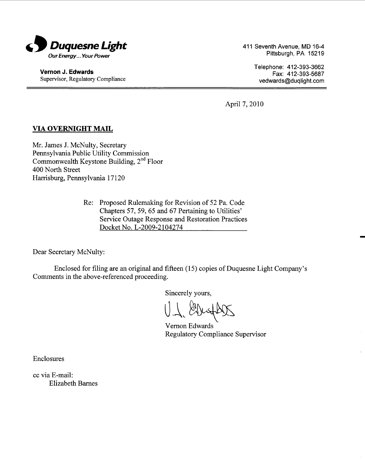

Vernon J. Edwards Supervisor, Regulatory Compliance 411 Seventh Avenue, MD 16-4 Pittsburgh, PA 15219

> Telephone: 412-393-3662 Fax: 412-393-5687 vedwards@duqlight.com

April 7, 2010

# VIA OVERNIGHT MAIL

Mr. James J. McNulty, Secretary Pennsylvania Public Utility Commission Commonwealth Keystone Building,  $2<sup>nd</sup>$  Floor 400 North Street Harrisburg, Pennsylvania 17120

> Re: Proposed Rulemaking for Revision of 52 Pa. Code Chapters 57, 59, 65 and 67 Pertaining to Utilities Service Outage Response and Restoration Practices Docket No. L-2009-2104274

Dear Secretary McNulty:

Enclosed for filing are an original and fifteen (15) copies of Duquesne Light Company Comments in the above-referenced proceeding.

Sincerely yours

 $\bigcup\limits_{\gamma}$ 

Vemon Edwards Regulatory Compliance Supervisor

Enclosures

cc via E-mail: Elizabeth Barnes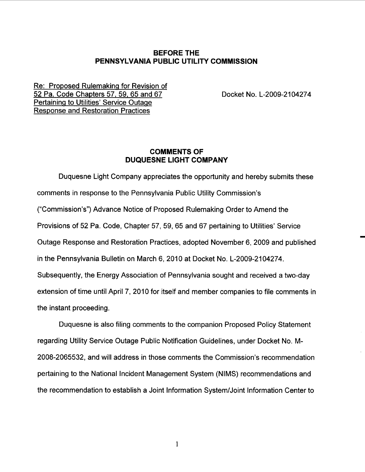## BEFORE THE PENNSYLVANIA PUBLIC UTILITY COMMISSION

Re: Proposed Rulemaking for Revision of 52 Pa. Code Chapters 57. 59. 65 and 67 Pertaining to Utilities' Service Outage Response and Restoration Practices

Docket No. L-2009-2104274

## COMMENTS OF DUQUESNE LIGHT COMPANY

Duquesne Light Company appreciates the opportunity and hereby submits these comments in response to the Pennsylvania Public Utility Commission Commission ) Advance Notice of Proposed Rulemaking Order to Amend the Provisions of 52 Pa. Code, Chapter 57, 59, 65 and 67 pertaining to Utilities' Service Outage Response and Restoration Practices, adopted November 6, 2009 and published in the Pennsylvania Bulletin on March 6, 2010 at Docket No. L-2009-2104274. Subsequently, the Energy Association of Pennsylvania sought and received a two-day extension of time until April 7, 2010 for itself and member companies to file comments in the instant proceeding.

Duquesne is also filing comments to the companion Proposed Policy Statement regarding Utility Service Outage Public Notification Guidelines , under Docket No. M-2008-2065532, and will address in those comments the Commission's recommendation pertaining to the National Incident Management System (NIMS) recommendations and the recommendation to establish a Joint Information System/Joint Information Center to

 $\mathbf{1}$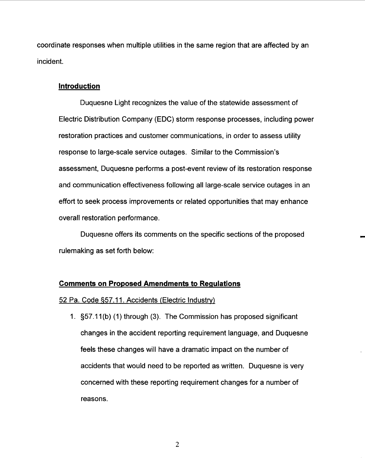coordinate responses when multiple utilities in the same region that are affected by an incident.

### Introduction

Duquesne Light recognizes the value of the statewide assessment of Electric Distribution Company (EDC) storm response processes, including power restoration practices and customer communications, in order to assess utility response to large-scale service outages. Similar to the Commission assessment, Duquesne performs a post-event review of its restoration response and communication effectiveness following all large-scale service outages in an effort to seek process improvements or related opportunities that may enhance overall restoration performance.

Duquesne offers its comments on the specific sections of the proposed rulemaking as set forth below:

### **Comments on Proposed Amendments to Regulations**

### 52 Pa. Code §57.11. Accidents (Electric Industry)

1. S57. 11 (b) (1) through (3). The Commission has proposed significant changes in the accident reporting requirement language, and Duquesne feels these changes will have a dramatic impact on the number of accidents that would need to be reported as written. Duquesne is very concerned with these reporting requirement changes for a number of reasons.

 $\overline{2}$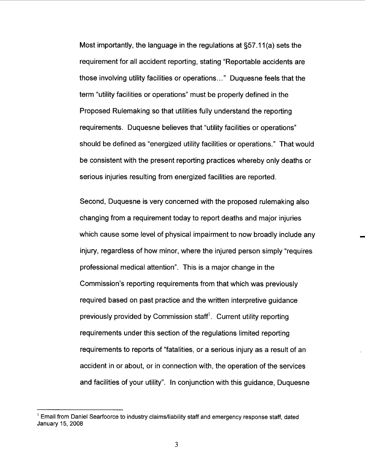Most importantly, the language in the regulations at S57. 11 (a) sets the requirement for all accident reporting, stating "Reportable accidents are those involving utility facilities or operations... " Duquesne feels that the term "utility facilities or operations" must be properly defined in the Proposed Rulemaking so that utilities fully understand the reporting requirements. Duquesne believes that "utility facilities or operations should be defined as "energized utility facilities or operations. " That would be consistent with the present reporting practices whereby only deaths or serious injuries resulting from energized facilities are reported.

Second, Duquesne is very concerned with the proposed rulemaking also changing from a requirement today to report deaths and major injuries which cause some level of physical impairment to now broadly include any injury, regardless of how minor, where the injured person simply "requires professional medical attention". This is a major change in the Commission's reporting requirements from that which was previously required based on past practice and the written interpretive guidance previously provided by Commission staff! . Current utility reporting requirements under this section of the regulations limited reporting requirements to reports of "fatalities, or a serious injury as a result of an accident in or about, or in connection with, the operation of the services and facilities of your utility". In conjunction with this guidance, Duquesne

 $1$  Email from Daniel Searfoorce to industry claims/liability staff and emergency response staff, dated January 15, 2008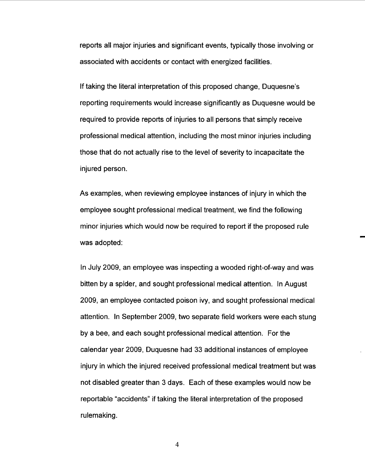reports all major injuries and significant events, typically those involving or associated with accidents or contact with energized facilities.

If taking the literal interpretation of this proposed change, Duquesne's reporting requirements would increase significantly as Duquesne would be required to provide reports of injuries to all persons that simply receive professional medical attention , including the most minor injuries including those that do not actually rise to the level of severity to incapacitate the injured person.

As examples, when reviewing employee instances of injury in which the employee sought professional medical treatment, we find the following minor injuries which would now be required to report if the proposed rule was adopted:

In July 2009, an employee was inspecting a wooded right-of-way and was bitten by a spider, and sought professional medical attention. In August 2009, an employee contacted poison ivy, and sought professional medical attention. In September 2009, two separate field workers were each stung by a bee, and each sought professional medical attention. For the calendar year 2009 , Duquesne had 33 additional instances of employee injury in which the injured received professional medical treatment but was not disabled greater than 3 days. Each of these examples would now be reportable "accidents" if taking the literal interpretation of the proposed rulemaking.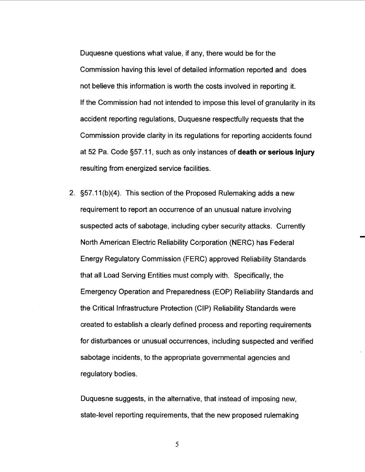Duquesne questions what value, if any, there would be for the Commission having this level of detailed information reported and does not believe this information is worth the costs involved in reporting it. If the Commission had not intended to impose this level of granularity in its accident reporting regulations, Duquesne respectfully requests that the Commission provide clarity in its regulations for reporting accidents found at 52 Pa. Code  $\S 57.11$ , such as only instances of **death or serious injury** resulting from energized service facilities.

2. S57. 11(b)(4). This section of the Proposed Rulemaking adds a new requirement to report an occurrence of an unusual nature involving suspected acts of sabotage, including cyber security attacks. Currently North American Electric Reliability Corporation (NERC) has Federal Energy Regulatory Commission (FERC) approved Reliability Standards that all Load Serving Entities must comply with. Specifically, the Emergency Operation and Preparedness (EOP) Reliability Standards and the Critical Infrastructure Protection (CIP) Reliability Standards were created to establish a clearly defined process and reporting requirements for disturbances or unusual occurrences, including suspected and verified sabotage incidents, to the appropriate governmental agencies and regulatory bodies.

Duquesne suggests, in the alternative, that instead of imposing new state-level reporting requirements, that the new proposed rulemaking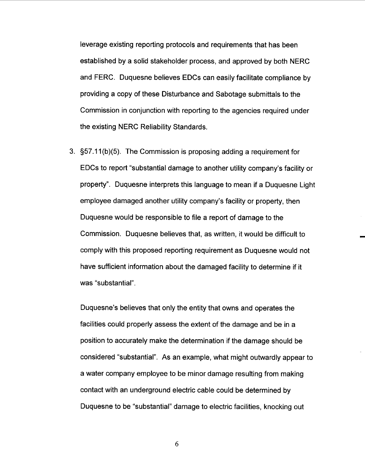leverage existing reporting protocols and requirements that has been established by a solid stakeholder process, and approved by both NERC and FERC. Duquesne believes EDCs can easily facilitate compliance by providing a copy of these Disturbance and Sabotage submittals to the Commission in conjunction with reporting to the agencies required under the existing NERC Reliability Standards.

3. S57 . 11 (b )(5). The Commission is proposing adding a requirement for EDCs to report "substantial damage to another utility company's facility or property". Duquesne interprets this language to mean if a Duquesne Light employee damaged another utility company's facility or property, then Duquesne would be responsible to file a report of damage to the Commission. Duquesne believes that, as written , it would be difficult to comply with this proposed reporting requirement as Duquesne would not have sufficient information about the damaged facility to determine if it was "substantial"

Duquesne's believes that only the entity that owns and operates the facilities could properly assess the extent of the damage and be in a position to accurately make the determination if the damage should be considered "substantial". As an example, what might outwardly appear to a water company employee to be minor damage resulting from making contact with an underground electric cable could be determined by Duquesne to be "substantial" damage to electric facilities, knocking out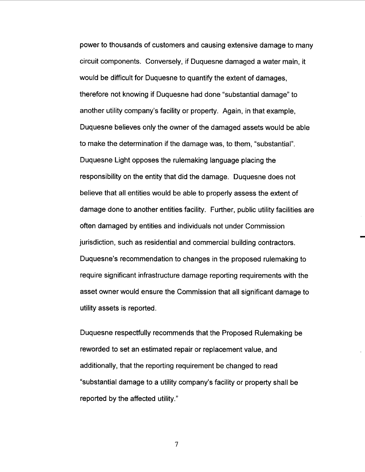power to thousands of customers and causing extensive damage to many circuit components. Conversely, if Duquesne damaged a water main, it would be difficult for Duquesne to quantify the extent of damages therefore not knowing if Duquesne had done "substantial damage" to another utility company's facility or property. Again, in that example, Duquesne believes only the owner of the damaged assets would be able to make the determination if the damage was, to them, "substantial" Duquesne Light opposes the rulemaking language placing the responsibility on the entity that did the damage. Duquesne does not believe that all entities would be able to properly assess the extent of damage done to another entities facility. Further, public utility facilities are often damaged by entities and individuals not under Commission jurisdiction, such as residential and commercial building contractors. Duquesne's recommendation to changes in the proposed rulemaking to require significant infrastructure damage reporting requirements with the asset owner would ensure the Commission that all significant damage to utility assets is reported.

Duquesne respectfully recommends that the Proposed Rulemaking be reworded to set an estimated repair or replacement value, and additionally, that the reporting requirement be changed to read "substantial damage to a utility company's facility or property shall be reported by the affected utility."

 $\overline{7}$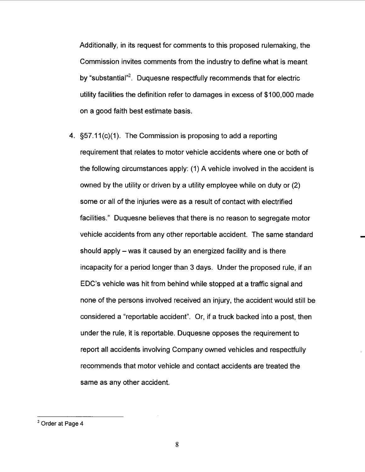Additionally, in its request for comments to this proposed rulemaking, the Commission invites comments from the industry to define what is meant by "substantial"<sup>2</sup>. Duquesne respectfully recommends that for electric utility facilities the definition refer to damages in excess of \$100 000 made on a good faith best estimate basis.

4.  $\S 57.11(c)(1)$ . The Commission is proposing to add a reporting requirement that relates to motor vehicle accidents where one or both of the following circumstances apply: (1) A vehicle involved in the accident is owned by the utility or driven by a utility employee while on duty or (2) some or all of the injuries were as a result of contact with electrified facilities. " Duquesne believes that there is no reason to segregate motor vehicle accidents from any other reportable accident. The same standard should apply – was it caused by an energized facility and is there incapacity for a period longer than 3 days. Under the proposed rule, if an EDC's vehicle was hit from behind while stopped at a traffic signal and none of the persons involved received an injury, the accident would still be considered a "reportable accident". Or, if a truck backed into a post, then under the rule, it is reportable. Duquesne opposes the requirement to report all accidents involving Company owned vehicles and respectfully recommends that motor vehicle and contact accidents are treated the same as any other accident.

<sup>2</sup> Order at Page 4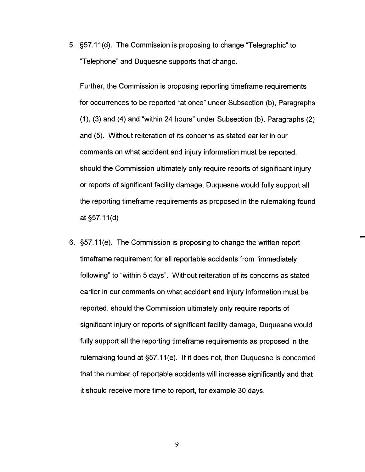5. S57. 11 (d). The Commission is proposing to change "Telegraphic" to Telephone" and Duquesne supports that change.

Further, the Commission is proposing reporting timeframe requirements for occurrences to be reported "at once" under Subsection (b), Paragraphs (1), (3) and (4) and "within 24 hours" under Subsection (b), Paragraphs (2) and (5). Without reiteration of its concerns as stated earlier in our comments on what accident and injury information must be reported should the Commission ultimately only require reports of significant injury or reports of significant facility damage, Duquesne would fully support all the reporting timeframe requirements as proposed in the rulemaking found at  $§57.11(d)$ 

6. S57. 11 (e). The Commission is proposing to change the written report timeframe requirement for all reportable accidents from "immediately following" to "within 5 days". Without reiteration of its concerns as stated earlier in our comments on what accident and injury information must be reported, should the Commission ultimately only require reports of significant injury or reports of significant facility damage, Duquesne would fully support all the reporting timeframe requirements as proposed in the rulemaking found at §57.11(e). If it does not, then Duquesne is concerned that the number of reportable accidents will increase significantly and that it should receive more time to report, for example 30 days.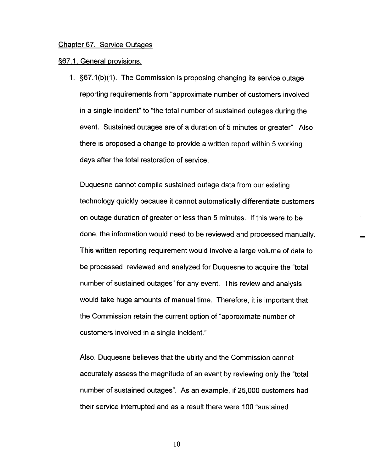#### Chapter 67. Service OutaQes

#### &67. 1. Genera! provisions.

1. S67. 1(b)(1). The Commission is proposing changing its service outage reporting requirements from "approximate number of customers involved in a single incident" to "the total number of sustained outages during the event. Sustained outages are of a duration of 5 minutes or greater" Also there is proposed a change to provide a written report within 5 working days after the total restoration of service.

Duquesne cannot compile sustained outage data from our existing technology quickly because it cannot automatically differentiate customers on outage duration of greater or less than 5 minutes. If this were to be done, the information would need to be reviewed and processed manually. This written reporting requirement would involve a large volume of data to be processed, reviewed and analyzed for Duquesne to acquire the "total number of sustained outages" for any event. This review and analysis would take huge amounts of manual time. Therefore , it is important that the Commission retain the current option of "approximate number of customers involved in a single incident."

Also, Duquesne believes that the utility and the Commission cannot accurately assess the magnitude of an event by reviewing only the "total number of sustained outages". As an example, if 25,000 customers had their service interrupted and as a result there were 100 "sustained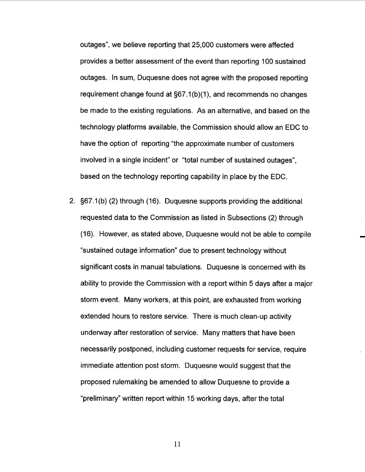outages", we believe reporting that 25,000 customers were affected provides a better assessment of the event than reporting 100 sustained outages. In sum, Duquesne does not agree with the proposed reporting requirement change found at §67.1(b)(1), and recommends no changes be made to the existing regulations. As an alternative, and based on the technology platforms available, the Commission should allow an EDC to have the option of reporting "the approximate number of customers involved in a single incident" or "total number of sustained outages based on the technology reporting capability in place by the EDC.

2. S67. 1(b) (2) through (16). Duquesne supports providing the additional requested data to the Commission as listed in Subsections (2) through (16). However, as stated above, Duquesne would not be able to compile sustained outage information" due to present technology without significant costs in manual tabulations. Duquesne is concerned with its ability to provide the Commission with a report within 5 days after a major storm event. Many workers, at this point, are exhausted from working extended hours to restore service. There is much clean-up activity underway after restoration of service. Many matters that have been necessarily postponed , including customer requests for service, require immediate attention post storm. Duquesne would suggest that the proposed rulemaking be amended to allow Duquesne to provide a preliminary" written report within 15 working days, after the total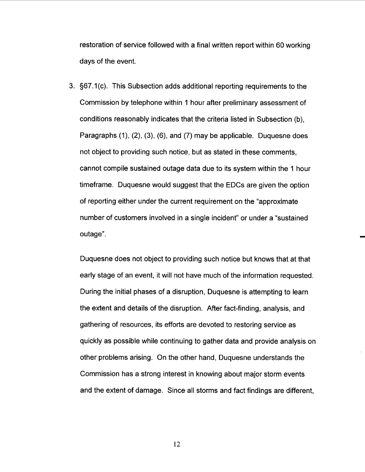restoration of service followed with a final written report within 60 working days of the event.

3. §67.1(c). This Subsection adds additional reporting requirements to the Commission by telephone within 1 hour after preliminary assessment of conditions reasonably indicates that the criteria listed in Subsection (b), Paragraphs (1), (2), (3), (6), and (7) may be applicable. Duquesne does not object to providing such notice, but as stated in these comments cannot compile sustained outage data due to its system within the 1 hour timeframe. Duquesne would suggest that the EDCs are given the option of reporting either under the current requirement on the "approximate number of customers involved in a single incident" or under a "sustained outage".

Duquesne does not object to providing such notice but knows that at that early stage of an event, it will not have much of the information requested. During the initial phases of a disruption, Duquesne is attempting to learn the extent and details of the disruption. After fact-finding, analysis, and gathering of resources, its efforts are devoted to restoring service as quickly as possible while continuing to gather data and provide analysis on other problems arising. On the other hand, Duquesne understands the Commission has a strong interest in knowing about major storm events and the extent of damage. Since all storms and fact findings are different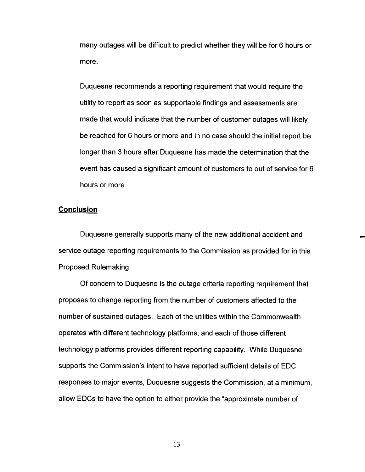many outages will be difficult to predict whether they will be for 6 hours or more.

Duquesne recommends a reporting requirement that would require the utility to report as soon as supportable findings and assessments are made that would indicate that the number of customer outages will likely be reached for 6 hours or more and in no case should the initial report be longer than 3 hours after Duquesne has made the determination that the event has caused a significant amount of customers to out of service for 6 hours or more.

### Conclusion

Duquesne generally supports many of the new additional accident and service outage reporting requirements to the Commission as provided for in this Proposed Rulemaking.

Of concern to Duquesne is the outage criteria reporting requirement that proposes to change reporting from the number of customers affected to the number of sustained outages. Each of the utilities within the Commonwealth operates with different technology platforms, and each of those different technology platforms provides different reporting capability. While Duquesne supports the Commission's intent to have reported sufficient details of EDC responses to major events, Duquesne suggests the Commission, at a minimum allow EDCs to have the option to either provide the "approximate number of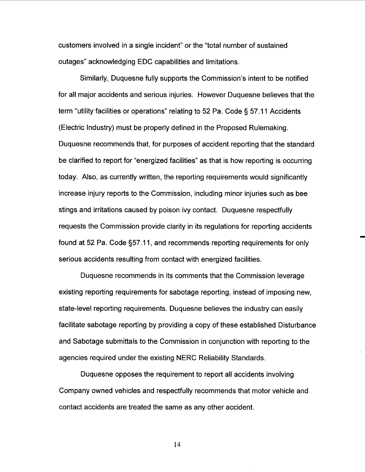customers involved in a single incident" or the "total number of sustained outages" acknowledging EDC capabilities and limitations.

Similarly, Duquesne fully supports the Commission's intent to be notified for all major accidents and serious injuries. However Duquesne believes that the term "utility facilities or operations" relating to 52 Pa. Code § 57.11 Accidents (Electric Industry) must be properly defined in the Proposed Rulemaking. Duquesne recommends that, for purposes of accident reporting that the standard be clarified to report for "energized facilities" as that is how reporting is occurring today. Also, as currently written, the reporting requirements would significantly increase injury reports to the Commission, including minor injuries such as bee stings and irritations caused by poison ivy contact. Duquesne respectfully requests the Commission provide clarity in its regulations for reporting accidents found at 52 Pa. Code §57.11, and recommends reporting requirements for only serious accidents resulting from contact with energized facilities.

Duquesne recommends in its comments that the Commission leverage existing reporting requirements for sabotage reporting, instead of imposing new state-level reporting requirements. Duquesne believes the industry can easily facilitate sabotage reporting by providing a copy of these established Disturbance and Sabotage submittals to the Commission in conjunction with reporting to the agencies required under the existing NERC Reliability Standards.

Duquesne opposes the requirement to report all accidents involving Company owned vehicles and respectfully recommends that motor vehicle and contact accidents are treated the same as any other accident.